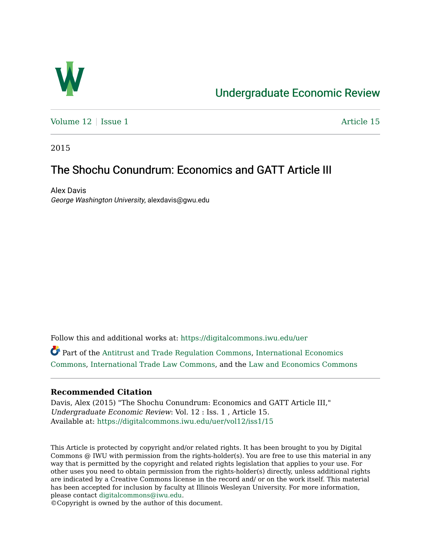

# [Undergraduate Economic Review](https://digitalcommons.iwu.edu/uer)

Volume  $12 \mid$  [Issue 1](https://digitalcommons.iwu.edu/uer/vol12/iss1)  $\blacksquare$ 

2015

# The Shochu Conundrum: Economics and GATT Article III

Alex Davis George Washington University, alexdavis@gwu.edu

Follow this and additional works at: [https://digitalcommons.iwu.edu/uer](https://digitalcommons.iwu.edu/uer?utm_source=digitalcommons.iwu.edu%2Fuer%2Fvol12%2Fiss1%2F15&utm_medium=PDF&utm_campaign=PDFCoverPages)

Part of the [Antitrust and Trade Regulation Commons](http://network.bepress.com/hgg/discipline/911?utm_source=digitalcommons.iwu.edu%2Fuer%2Fvol12%2Fiss1%2F15&utm_medium=PDF&utm_campaign=PDFCoverPages), [International Economics](http://network.bepress.com/hgg/discipline/348?utm_source=digitalcommons.iwu.edu%2Fuer%2Fvol12%2Fiss1%2F15&utm_medium=PDF&utm_campaign=PDFCoverPages)  [Commons](http://network.bepress.com/hgg/discipline/348?utm_source=digitalcommons.iwu.edu%2Fuer%2Fvol12%2Fiss1%2F15&utm_medium=PDF&utm_campaign=PDFCoverPages), [International Trade Law Commons,](http://network.bepress.com/hgg/discipline/848?utm_source=digitalcommons.iwu.edu%2Fuer%2Fvol12%2Fiss1%2F15&utm_medium=PDF&utm_campaign=PDFCoverPages) and the [Law and Economics Commons](http://network.bepress.com/hgg/discipline/612?utm_source=digitalcommons.iwu.edu%2Fuer%2Fvol12%2Fiss1%2F15&utm_medium=PDF&utm_campaign=PDFCoverPages) 

## **Recommended Citation**

Davis, Alex (2015) "The Shochu Conundrum: Economics and GATT Article III," Undergraduate Economic Review: Vol. 12 : Iss. 1 , Article 15. Available at: [https://digitalcommons.iwu.edu/uer/vol12/iss1/15](https://digitalcommons.iwu.edu/uer/vol12/iss1/15?utm_source=digitalcommons.iwu.edu%2Fuer%2Fvol12%2Fiss1%2F15&utm_medium=PDF&utm_campaign=PDFCoverPages) 

This Article is protected by copyright and/or related rights. It has been brought to you by Digital Commons @ IWU with permission from the rights-holder(s). You are free to use this material in any way that is permitted by the copyright and related rights legislation that applies to your use. For other uses you need to obtain permission from the rights-holder(s) directly, unless additional rights are indicated by a Creative Commons license in the record and/ or on the work itself. This material has been accepted for inclusion by faculty at Illinois Wesleyan University. For more information, please contact [digitalcommons@iwu.edu.](mailto:digitalcommons@iwu.edu)

©Copyright is owned by the author of this document.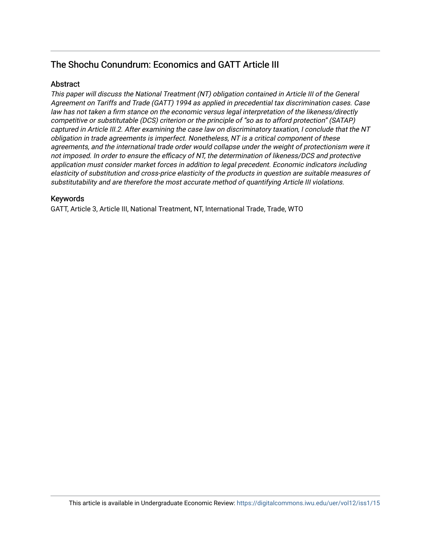# The Shochu Conundrum: Economics and GATT Article III

# **Abstract**

This paper will discuss the National Treatment (NT) obligation contained in Article III of the General Agreement on Tariffs and Trade (GATT) 1994 as applied in precedential tax discrimination cases. Case law has not taken a firm stance on the economic versus legal interpretation of the likeness/directly competitive or substitutable (DCS) criterion or the principle of "so as to afford protection" (SATAP) captured in Article III.2. After examining the case law on discriminatory taxation, I conclude that the NT obligation in trade agreements is imperfect. Nonetheless, NT is a critical component of these agreements, and the international trade order would collapse under the weight of protectionism were it not imposed. In order to ensure the efficacy of NT, the determination of likeness/DCS and protective application must consider market forces in addition to legal precedent. Economic indicators including elasticity of substitution and cross-price elasticity of the products in question are suitable measures of substitutability and are therefore the most accurate method of quantifying Article III violations.

## Keywords

GATT, Article 3, Article III, National Treatment, NT, International Trade, Trade, WTO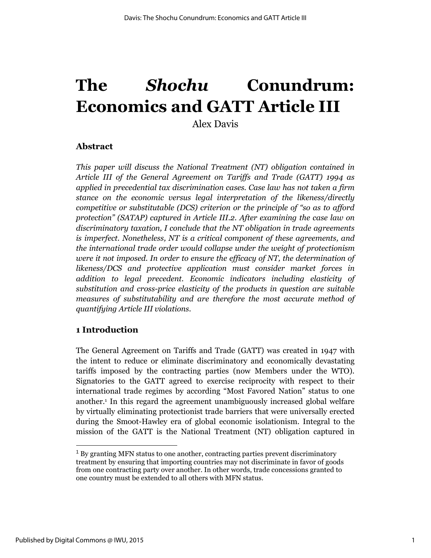# **The** *Shochu* **Conundrum: Economics and GATT Article III**

Alex Davis

# **Abstract**

*This paper will discuss the National Treatment (NT) obligation contained in Article III of the General Agreement on Tariffs and Trade (GATT) 1994 as applied in precedential tax discrimination cases. Case law has not taken a firm stance on the economic versus legal interpretation of the likeness/directly competitive or substitutable (DCS) criterion or the principle of "so as to afford protection" (SATAP) captured in Article III.2. After examining the case law on discriminatory taxation, I conclude that the NT obligation in trade agreements is imperfect. Nonetheless, NT is a critical component of these agreements, and the international trade order would collapse under the weight of protectionism were it not imposed. In order to ensure the efficacy of NT, the determination of likeness/DCS and protective application must consider market forces in addition to legal precedent. Economic indicators including elasticity of substitution and cross-price elasticity of the products in question are suitable measures of substitutability and are therefore the most accurate method of quantifying Article III violations.*

# **1 Introduction**

The General Agreement on Tariffs and Trade (GATT) was created in 1947 with the intent to reduce or eliminate discriminatory and economically devastating tariffs imposed by the contracting parties (now Members under the WTO). Signatories to the GATT agreed to exercise reciprocity with respect to their international trade regimes by according "Most Favored Nation" status to one another.<sup>1</sup> In this regard the agreement unambiguously increased global welfare by virtually eliminating protectionist trade barriers that were universally erected during the Smoot-Hawley era of global economic isolationism. Integral to the mission of the GATT is the National Treatment (NT) obligation captured in

 $<sup>1</sup>$  By granting MFN status to one another, contracting parties prevent discriminatory</sup> treatment by ensuring that importing countries may not discriminate in favor of goods from one contracting party over another. In other words, trade concessions granted to one country must be extended to all others with MFN status.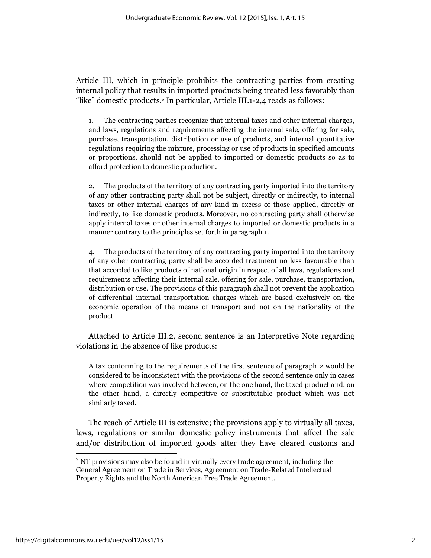Article III, which in principle prohibits the contracting parties from creating internal policy that results in imported products being treated less favorably than "like" domestic products.<sup>2</sup> In particular, Article III.1-2,4 reads as follows:

1. The contracting parties recognize that internal taxes and other internal charges, and laws, regulations and requirements affecting the internal sale, offering for sale, purchase, transportation, distribution or use of products, and internal quantitative regulations requiring the mixture, processing or use of products in specified amounts or proportions, should not be applied to imported or domestic products so as to afford protection to domestic production.

2. The products of the territory of any contracting party imported into the territory of any other contracting party shall not be subject, directly or indirectly, to internal taxes or other internal charges of any kind in excess of those applied, directly or indirectly, to like domestic products. Moreover, no contracting party shall otherwise apply internal taxes or other internal charges to imported or domestic products in a manner contrary to the principles set forth in paragraph 1.

4. The products of the territory of any contracting party imported into the territory of any other contracting party shall be accorded treatment no less favourable than that accorded to like products of national origin in respect of all laws, regulations and requirements affecting their internal sale, offering for sale, purchase, transportation, distribution or use. The provisions of this paragraph shall not prevent the application of differential internal transportation charges which are based exclusively on the economic operation of the means of transport and not on the nationality of the product.

Attached to Article III.2, second sentence is an Interpretive Note regarding violations in the absence of like products:

A tax conforming to the requirements of the first sentence of paragraph 2 would be considered to be inconsistent with the provisions of the second sentence only in cases where competition was involved between, on the one hand, the taxed product and, on the other hand, a directly competitive or substitutable product which was not similarly taxed.

The reach of Article III is extensive; the provisions apply to virtually all taxes, laws, regulations or similar domestic policy instruments that affect the sale and/or distribution of imported goods after they have cleared customs and

<sup>&</sup>lt;sup>2</sup> NT provisions may also be found in virtually every trade agreement, including the General Agreement on Trade in Services, Agreement on Trade-Related Intellectual Property Rights and the North American Free Trade Agreement.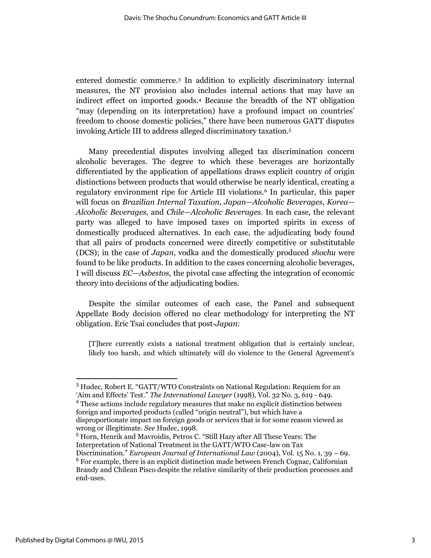entered domestic commerce.<sup>3</sup> In addition to explicitly discriminatory internal measures, the NT provision also includes internal actions that may have an indirect effect on imported goods.<sup>4</sup> Because the breadth of the NT obligation "may (depending on its interpretation) have a profound impact on countries' freedom to choose domestic policies," there have been numerous GATT disputes invoking Article III to address alleged discriminatory taxation.<sup>5</sup>

Many precedential disputes involving alleged tax discrimination concern alcoholic beverages. The degree to which these beverages are horizontally differentiated by the application of appellations draws explicit country of origin distinctions between products that would otherwise be nearly identical, creating a regulatory environment ripe for Article III violations.<sup>6</sup> In particular, this paper will focus on *Brazilian Internal Taxation*, *Japan—Alcoholic Beverages*, *Korea— Alcoholic Beverages*, and *Chile—Alcoholic Beverages*. In each case, the relevant party was alleged to have imposed taxes on imported spirits in excess of domestically produced alternatives. In each case, the adjudicating body found that all pairs of products concerned were directly competitive or substitutable (DCS); in the case of *Japan*, vodka and the domestically produced *shochu* were found to be like products. In addition to the cases concerning alcoholic beverages, I will discuss *EC—Asbestos*, the pivotal case affecting the integration of economic theory into decisions of the adjudicating bodies.

Despite the similar outcomes of each case, the Panel and subsequent Appellate Body decision offered no clear methodology for interpreting the NT obligation. Eric Tsai concludes that post-*Japan*:

[T]here currently exists a national treatment obligation that is certainly unclear, likely too harsh, and which ultimately will do violence to the General Agreement's

<sup>5</sup> Horn, Henrik and Mavroidis, Petros C. "Still Hazy after All These Years: The Interpretation of National Treatment in the GATT/WTO Case-law on Tax

<sup>3</sup> Hudec, Robert E. "GATT/WTO Constraints on National Regulation: Requiem for an 'Aim and Effects' Test." *The International Lawyer* (1998), Vol. 32 No. 3, 619 - 649. <sup>4</sup> These actions include regulatory measures that make no explicit distinction between foreign and imported products (called "origin neutral"), but which have a disproportionate impact on foreign goods or services that is for some reason viewed as wrong or illegitimate. *See* Hudec, 1998.

Discrimination." *European Journal of International Law* (2004), Vol. 15 No. 1, 39 – 69. <sup>6</sup> For example, there is an explicit distinction made between French Cognac, Californian Brandy and Chilean Pisco despite the relative similarity of their production processes and end-uses.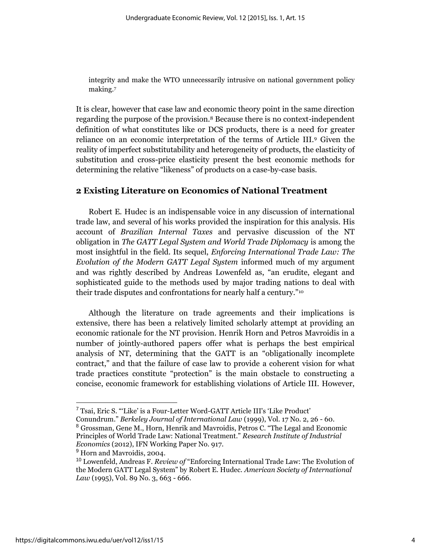integrity and make the WTO unnecessarily intrusive on national government policy making.<sup>7</sup>

It is clear, however that case law and economic theory point in the same direction regarding the purpose of the provision.<sup>8</sup> Because there is no context-independent definition of what constitutes like or DCS products, there is a need for greater reliance on an economic interpretation of the terms of Article III.<sup>9</sup> Given the reality of imperfect substitutability and heterogeneity of products, the elasticity of substitution and cross-price elasticity present the best economic methods for determining the relative "likeness" of products on a case-by-case basis.

## **2 Existing Literature on Economics of National Treatment**

Robert E. Hudec is an indispensable voice in any discussion of international trade law, and several of his works provided the inspiration for this analysis. His account of *Brazilian Internal Taxes* and pervasive discussion of the NT obligation in *The GATT Legal System and World Trade Diplomacy* is among the most insightful in the field. Its sequel, *Enforcing International Trade Law: The Evolution of the Modern GATT Legal System* informed much of my argument and was rightly described by Andreas Lowenfeld as, "an erudite, elegant and sophisticated guide to the methods used by major trading nations to deal with their trade disputes and confrontations for nearly half a century."<sup>10</sup>

Although the literature on trade agreements and their implications is extensive, there has been a relatively limited scholarly attempt at providing an economic rationale for the NT provision. Henrik Horn and Petros Mavroidis in a number of jointly-authored papers offer what is perhaps the best empirical analysis of NT, determining that the GATT is an "obligationally incomplete contract," and that the failure of case law to provide a coherent vision for what trade practices constitute "protection" is the main obstacle to constructing a concise, economic framework for establishing violations of Article III. However,

<sup>7</sup> Tsai, Eric S. "'Like' is a Four-Letter Word-GATT Article III's 'Like Product'

Conundrum." *Berkeley Journal of International Law* (1999), Vol. 17 No. 2, 26 - 60. <sup>8</sup> Grossman, Gene M., Horn, Henrik and Mavroidis, Petros C. "The Legal and Economic Principles of World Trade Law: National Treatment." *Research Institute of Industrial Economics* (2012), IFN Working Paper No. 917.

<sup>&</sup>lt;sup>9</sup> Horn and Mavroidis, 2004.

<sup>10</sup> Lowenfeld, Andreas F. *Review of* "Enforcing International Trade Law: The Evolution of the Modern GATT Legal System" by Robert E. Hudec. *American Society of International Law* (1995), Vol. 89 No. 3, 663 - 666.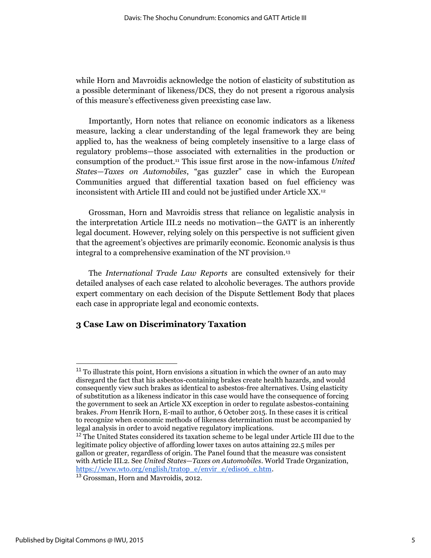while Horn and Mavroidis acknowledge the notion of elasticity of substitution as a possible determinant of likeness/DCS, they do not present a rigorous analysis of this measure's effectiveness given preexisting case law.

Importantly, Horn notes that reliance on economic indicators as a likeness measure, lacking a clear understanding of the legal framework they are being applied to, has the weakness of being completely insensitive to a large class of regulatory problems—those associated with externalities in the production or consumption of the product.<sup>11</sup> This issue first arose in the now-infamous *United States—Taxes on Automobiles*, "gas guzzler" case in which the European Communities argued that differential taxation based on fuel efficiency was inconsistent with Article III and could not be justified under Article XX.<sup>12</sup>

Grossman, Horn and Mavroidis stress that reliance on legalistic analysis in the interpretation Article III.2 needs no motivation—the GATT is an inherently legal document. However, relying solely on this perspective is not sufficient given that the agreement's objectives are primarily economic. Economic analysis is thus integral to a comprehensive examination of the NT provision.<sup>13</sup>

The *International Trade Law Reports* are consulted extensively for their detailed analyses of each case related to alcoholic beverages. The authors provide expert commentary on each decision of the Dispute Settlement Body that places each case in appropriate legal and economic contexts.

## **3 Case Law on Discriminatory Taxation**

<sup>&</sup>lt;sup>11</sup> To illustrate this point, Horn envisions a situation in which the owner of an auto may disregard the fact that his asbestos-containing brakes create health hazards, and would consequently view such brakes as identical to asbestos-free alternatives. Using elasticity of substitution as a likeness indicator in this case would have the consequence of forcing the government to seek an Article XX exception in order to regulate asbestos-containing brakes. *From* Henrik Horn, E-mail to author, 6 October 2015. In these cases it is critical to recognize when economic methods of likeness determination must be accompanied by legal analysis in order to avoid negative regulatory implications.

 $12$  The United States considered its taxation scheme to be legal under Article III due to the legitimate policy objective of affording lower taxes on autos attaining 22.5 miles per gallon or greater, regardless of origin. The Panel found that the measure was consistent with Article III.2. See *United States—Taxes on Automobiles*. World Trade Organization, [https://www.wto.org/english/tratop\\_e/envir\\_e/edis06\\_e.htm.](https://www.wto.org/english/tratop_e/envir_e/edis06_e.htm)

<sup>&</sup>lt;sup>13</sup> Grossman, Horn and Mayroidis, 2012.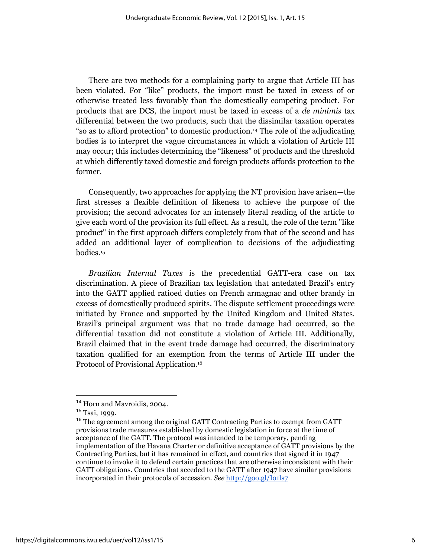There are two methods for a complaining party to argue that Article III has been violated. For "like" products, the import must be taxed in excess of or otherwise treated less favorably than the domestically competing product. For products that are DCS, the import must be taxed in excess of a *de minimis* tax differential between the two products, such that the dissimilar taxation operates "so as to afford protection" to domestic production.<sup>14</sup> The role of the adjudicating bodies is to interpret the vague circumstances in which a violation of Article III may occur; this includes determining the "likeness" of products and the threshold at which differently taxed domestic and foreign products affords protection to the former.

Consequently, two approaches for applying the NT provision have arisen—the first stresses a flexible definition of likeness to achieve the purpose of the provision; the second advocates for an intensely literal reading of the article to give each word of the provision its full effect. As a result, the role of the term "like product" in the first approach differs completely from that of the second and has added an additional layer of complication to decisions of the adjudicating bodies.<sup>15</sup>

*Brazilian Internal Taxes* is the precedential GATT-era case on tax discrimination. A piece of Brazilian tax legislation that antedated Brazil's entry into the GATT applied ratioed duties on French armagnac and other brandy in excess of domestically produced spirits. The dispute settlement proceedings were initiated by France and supported by the United Kingdom and United States. Brazil's principal argument was that no trade damage had occurred, so the differential taxation did not constitute a violation of Article III. Additionally, Brazil claimed that in the event trade damage had occurred, the discriminatory taxation qualified for an exemption from the terms of Article III under the Protocol of Provisional Application.<sup>16</sup>

<sup>14</sup> Horn and Mavroidis, 2004.

<sup>15</sup> Tsai, 1999.

<sup>&</sup>lt;sup>16</sup> The agreement among the original GATT Contracting Parties to exempt from GATT provisions trade measures established by domestic legislation in force at the time of acceptance of the GATT. The protocol was intended to be temporary, pending implementation of the Havana Charter or definitive acceptance of GATT provisions by the Contracting Parties, but it has remained in effect, and countries that signed it in 1947 continue to invoke it to defend certain practices that are otherwise inconsistent with their GATT obligations. Countries that acceded to the GATT after 1947 have similar provisions incorporated in their protocols of accession. *See* <http://goo.gl/Io1ls7>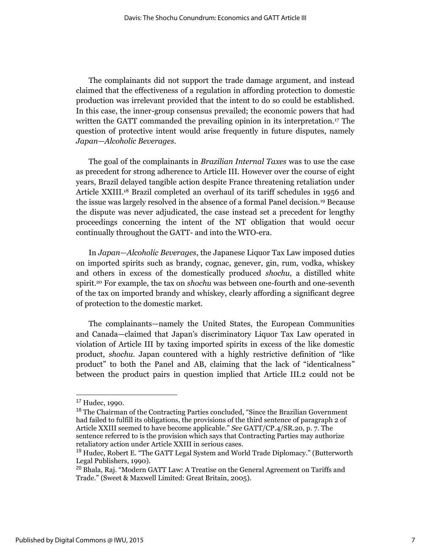The complainants did not support the trade damage argument, and instead claimed that the effectiveness of a regulation in affording protection to domestic production was irrelevant provided that the intent to do so could be established. In this case, the inner-group consensus prevailed; the economic powers that had written the GATT commanded the prevailing opinion in its interpretation.<sup>17</sup> The question of protective intent would arise frequently in future disputes, namely *Japan—Alcoholic Beverages*.

The goal of the complainants in *Brazilian Internal Taxes* was to use the case as precedent for strong adherence to Article III. However over the course of eight years, Brazil delayed tangible action despite France threatening retaliation under Article XXIII.<sup>18</sup> Brazil completed an overhaul of its tariff schedules in 1956 and the issue was largely resolved in the absence of a formal Panel decision.<sup>19</sup> Because the dispute was never adjudicated, the case instead set a precedent for lengthy proceedings concerning the intent of the NT obligation that would occur continually throughout the GATT- and into the WTO-era.

In *Japan—Alcoholic Beverages*, the Japanese Liquor Tax Law imposed duties on imported spirits such as brandy, cognac, genever, gin, rum, vodka, whiskey and others in excess of the domestically produced *shochu*, a distilled white spirit.<sup>20</sup> For example, the tax on *shochu* was between one-fourth and one-seventh of the tax on imported brandy and whiskey, clearly affording a significant degree of protection to the domestic market.

The complainants—namely the United States, the European Communities and Canada—claimed that Japan's discriminatory Liquor Tax Law operated in violation of Article III by taxing imported spirits in excess of the like domestic product, *shochu*. Japan countered with a highly restrictive definition of "like product" to both the Panel and AB, claiming that the lack of "identicalness" between the product pairs in question implied that Article III.2 could not be

<sup>17</sup> Hudec, 1990.

<sup>&</sup>lt;sup>18</sup> The Chairman of the Contracting Parties concluded, "Since the Brazilian Government had failed to fulfill its obligations, the provisions of the third sentence of paragraph 2 of Article XXIII seemed to have become applicable." *See* GATT/CP.4/SR.20, p. 7. The sentence referred to is the provision which says that Contracting Parties may authorize retaliatory action under Article XXIII in serious cases.

<sup>&</sup>lt;sup>19</sup> Hudec, Robert E. "The GATT Legal System and World Trade Diplomacy." (Butterworth Legal Publishers, 1990).

<sup>20</sup> Bhala, Raj. "Modern GATT Law: A Treatise on the General Agreement on Tariffs and Trade." (Sweet & Maxwell Limited: Great Britain, 2005).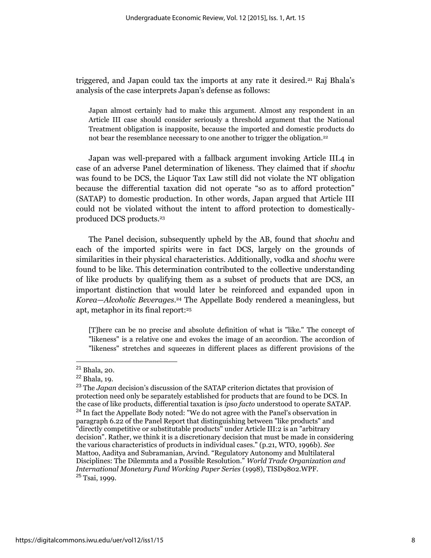triggered, and Japan could tax the imports at any rate it desired.<sup>21</sup> Raj Bhala's analysis of the case interprets Japan's defense as follows:

Japan almost certainly had to make this argument. Almost any respondent in an Article III case should consider seriously a threshold argument that the National Treatment obligation is inapposite, because the imported and domestic products do not bear the resemblance necessary to one another to trigger the obligation.<sup>22</sup>

Japan was well-prepared with a fallback argument invoking Article III.4 in case of an adverse Panel determination of likeness. They claimed that if *shochu* was found to be DCS, the Liquor Tax Law still did not violate the NT obligation because the differential taxation did not operate "so as to afford protection" (SATAP) to domestic production. In other words, Japan argued that Article III could not be violated without the intent to afford protection to domesticallyproduced DCS products.<sup>23</sup>

The Panel decision, subsequently upheld by the AB, found that *shochu* and each of the imported spirits were in fact DCS, largely on the grounds of similarities in their physical characteristics. Additionally, vodka and *shochu* were found to be like. This determination contributed to the collective understanding of like products by qualifying them as a subset of products that are DCS, an important distinction that would later be reinforced and expanded upon in *Korea*—*Alcoholic Beverages*. <sup>24</sup> The Appellate Body rendered a meaningless, but apt, metaphor in its final report:<sup>25</sup>

[T]here can be no precise and absolute definition of what is "like." The concept of "likeness" is a relative one and evokes the image of an accordion. The accordion of "likeness" stretches and squeezes in different places as different provisions of the

<sup>21</sup> Bhala, 20.

<sup>22</sup> Bhala, 19.

<sup>23</sup> The *Japan* decision's discussion of the SATAP criterion dictates that provision of protection need only be separately established for products that are found to be DCS. In the case of like products, differential taxation is *ipso facto* understood to operate SATAP. <sup>24</sup> In fact the Appellate Body noted: "We do not agree with the Panel's observation in paragraph 6.22 of the Panel Report that distinguishing between "like products" and "directly competitive or substitutable products" under Article III:2 is an "arbitrary decision". Rather, we think it is a discretionary decision that must be made in considering the various characteristics of products in individual cases." (p.21, WTO, 1996b). *See*  Mattoo, Aaditya and Subramanian, Arvind. "Regulatory Autonomy and Multilateral Disciplines: The Dilemmta and a Possible Resolution." *World Trade Organization and International Monetary Fund Working Paper Series* (1998), TISD9802.WPF. <sup>25</sup> Tsai, 1999.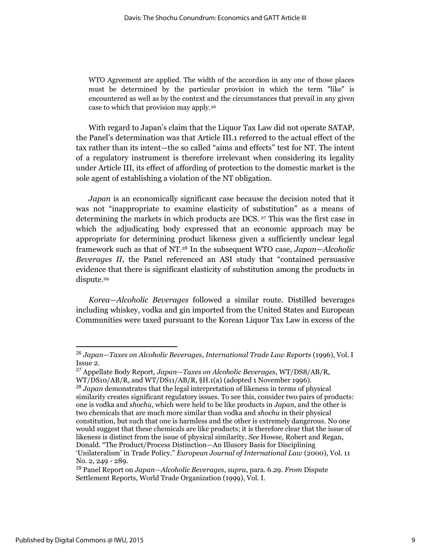WTO Agreement are applied. The width of the accordion in any one of those places must be determined by the particular provision in which the term "like" is encountered as well as by the context and the circumstances that prevail in any given case to which that provision may apply.<sup>26</sup>

With regard to Japan's claim that the Liquor Tax Law did not operate SATAP, the Panel's determination was that Article III.1 referred to the actual effect of the tax rather than its intent—the so called "aims and effects" test for NT. The intent of a regulatory instrument is therefore irrelevant when considering its legality under Article III, its effect of affording of protection to the domestic market is the sole agent of establishing a violation of the NT obligation.

*Japan* is an economically significant case because the decision noted that it was not "inappropriate to examine elasticity of substitution" as a means of determining the markets in which products are DCS. <sup>27</sup> This was the first case in which the adjudicating body expressed that an economic approach may be appropriate for determining product likeness given a sufficiently unclear legal framework such as that of NT.<sup>28</sup> In the subsequent WTO case, *Japan—Alcoholic Beverages II*, the Panel referenced an ASI study that "contained persuasive evidence that there is significant elasticity of substitution among the products in dispute.<sup>29</sup>

*Korea—Alcoholic Beverages* followed a similar route. Distilled beverages including whiskey, vodka and gin imported from the United States and European Communities were taxed pursuant to the Korean Liquor Tax Law in excess of the

<sup>26</sup> *Japan—Taxes on Alcoholic Beverages*, *International Trade Law Reports* (1996), Vol. I Issue 2.

<sup>27</sup> Appellate Body Report, *Japan—Taxes on Alcoholic Beverages*, WT/DS8/AB/R, WT/DS10/AB/R, and WT/DS11/AB/R, §H.1(a) (adopted 1 November 1996).

<sup>28</sup> *Japan* demonstrates that the legal interpretation of likeness in terms of physical similarity creates significant regulatory issues. To see this, consider two pairs of products: one is vodka and *shochu*, which were held to be like products in *Japan*, and the other is two chemicals that are much more similar than vodka and *shochu* in their physical constitution, but such that one is harmless and the other is extremely dangerous. No one would suggest that these chemicals are like products; it is therefore clear that the issue of likeness is distinct from the issue of physical similarity. *See* Howse, Robert and Regan, Donald. "The Product/Process Distinction—An Illusory Basis for Disciplining 'Unilateralism' in Trade Policy." *European Journal of International Law* (2000), Vol. 11 No. 2, 249 - 289.

<sup>29</sup> Panel Report on *Japan—Alcoholic Beverages*, *supra*, para. 6.29. *From* Dispute Settlement Reports, World Trade Organization (1999), Vol. I.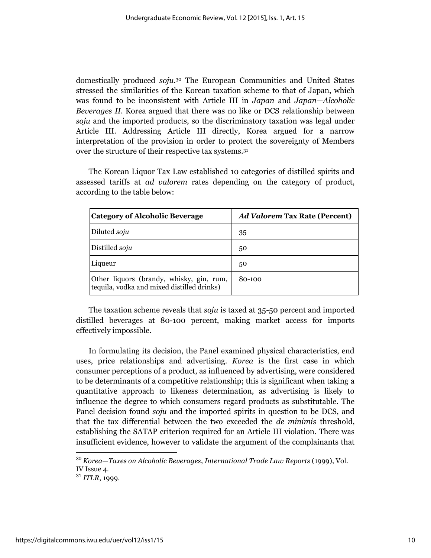domestically produced *soju*. <sup>30</sup> The European Communities and United States stressed the similarities of the Korean taxation scheme to that of Japan, which was found to be inconsistent with Article III in *Japan* and *Japan—Alcoholic Beverages II*. Korea argued that there was no like or DCS relationship between *soju* and the imported products, so the discriminatory taxation was legal under Article III. Addressing Article III directly, Korea argued for a narrow interpretation of the provision in order to protect the sovereignty of Members over the structure of their respective tax systems.<sup>31</sup>

The Korean Liquor Tax Law established 10 categories of distilled spirits and assessed tariffs at *ad valorem* rates depending on the category of product, according to the table below:

| <b>Category of Alcoholic Beverage</b>                                                  | <b>Ad Valorem Tax Rate (Percent)</b> |
|----------------------------------------------------------------------------------------|--------------------------------------|
| Diluted soju                                                                           | 35                                   |
| Distilled soju                                                                         | 50                                   |
| Liqueur                                                                                | 50                                   |
| Other liquors (brandy, whisky, gin, rum,<br>tequila, vodka and mixed distilled drinks) | 80-100                               |

The taxation scheme reveals that *soju* is taxed at 35-50 percent and imported distilled beverages at 80-100 percent, making market access for imports effectively impossible.

In formulating its decision, the Panel examined physical characteristics, end uses, price relationships and advertising. *Korea* is the first case in which consumer perceptions of a product, as influenced by advertising, were considered to be determinants of a competitive relationship; this is significant when taking a quantitative approach to likeness determination, as advertising is likely to influence the degree to which consumers regard products as substitutable. The Panel decision found *soju* and the imported spirits in question to be DCS, and that the tax differential between the two exceeded the *de minimis* threshold, establishing the SATAP criterion required for an Article III violation. There was insufficient evidence, however to validate the argument of the complainants that

<sup>30</sup> *Korea—Taxes on Alcoholic Beverages*, *International Trade Law Reports* (1999), Vol. IV Issue 4.

<sup>31</sup> *ITLR*, 1999.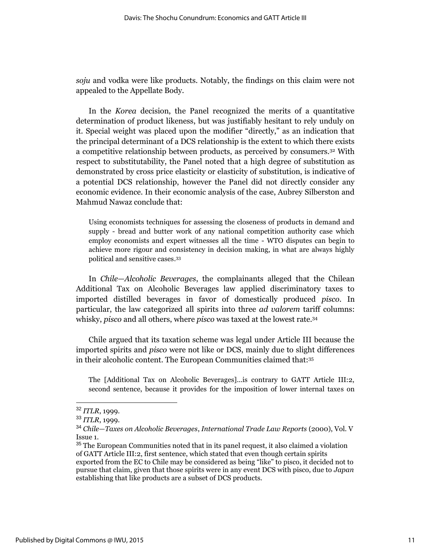*soju* and vodka were like products. Notably, the findings on this claim were not appealed to the Appellate Body.

In the *Korea* decision, the Panel recognized the merits of a quantitative determination of product likeness, but was justifiably hesitant to rely unduly on it. Special weight was placed upon the modifier "directly," as an indication that the principal determinant of a DCS relationship is the extent to which there exists a competitive relationship between products, as perceived by consumers.<sup>32</sup> With respect to substitutability, the Panel noted that a high degree of substitution as demonstrated by cross price elasticity or elasticity of substitution, is indicative of a potential DCS relationship, however the Panel did not directly consider any economic evidence. In their economic analysis of the case, Aubrey Silberston and Mahmud Nawaz conclude that:

Using economists techniques for assessing the closeness of products in demand and supply - bread and butter work of any national competition authority case which employ economists and expert witnesses all the time - WTO disputes can begin to achieve more rigour and consistency in decision making, in what are always highly political and sensitive cases. 33

In *Chile—Alcoholic Beverages*, the complainants alleged that the Chilean Additional Tax on Alcoholic Beverages law applied discriminatory taxes to imported distilled beverages in favor of domestically produced *pisco*. In particular, the law categorized all spirits into three *ad valorem* tariff columns: whisky, *pisco* and all others, where *pisco* was taxed at the lowest rate.<sup>34</sup>

Chile argued that its taxation scheme was legal under Article III because the imported spirits and *pisco* were not like or DCS, mainly due to slight differences in their alcoholic content. The European Communities claimed that:<sup>35</sup>

The [Additional Tax on Alcoholic Beverages]...is contrary to GATT Article III:2, second sentence, because it provides for the imposition of lower internal taxes on

<sup>32</sup> *ITLR*, 1999.

<sup>33</sup> *ITLR*, 1999.

<sup>34</sup> *Chile—Taxes on Alcoholic Beverages*, *International Trade Law Reports* (2000), Vol. V Issue 1.

<sup>&</sup>lt;sup>35</sup> The European Communities noted that in its panel request, it also claimed a violation of GATT Article III:2, first sentence, which stated that even though certain spirits exported from the EC to Chile may be considered as being "like" to pisco, it decided not to pursue that claim, given that those spirits were in any event DCS with pisco, due to *Japan*  establishing that like products are a subset of DCS products.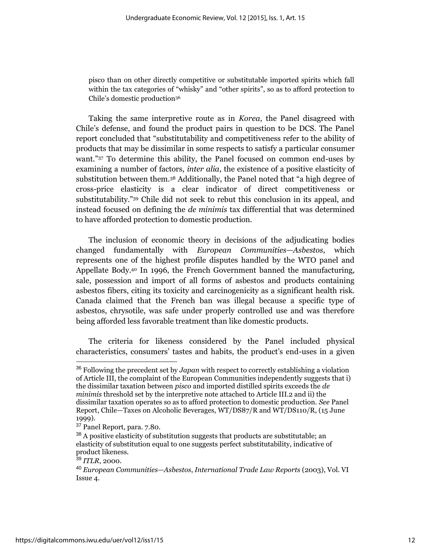pisco than on other directly competitive or substitutable imported spirits which fall within the tax categories of "whisky" and "other spirits", so as to afford protection to Chile's domestic production<sup>36</sup>

Taking the same interpretive route as in *Korea*, the Panel disagreed with Chile's defense, and found the product pairs in question to be DCS. The Panel report concluded that "substitutability and competitiveness refer to the ability of products that may be dissimilar in some respects to satisfy a particular consumer want."<sup>37</sup> To determine this ability, the Panel focused on common end-uses by examining a number of factors, *inter alia*, the existence of a positive elasticity of substitution between them.<sup>38</sup> Additionally, the Panel noted that "a high degree of cross-price elasticity is a clear indicator of direct competitiveness or substitutability."<sup>39</sup> Chile did not seek to rebut this conclusion in its appeal, and instead focused on defining the *de minimis* tax differential that was determined to have afforded protection to domestic production.

The inclusion of economic theory in decisions of the adjudicating bodies changed fundamentally with *European Communities—Asbestos*, which represents one of the highest profile disputes handled by the WTO panel and Appellate Body.<sup>40</sup> In 1996, the French Government banned the manufacturing, sale, possession and import of all forms of asbestos and products containing asbestos fibers, citing its toxicity and carcinogenicity as a significant health risk. Canada claimed that the French ban was illegal because a specific type of asbestos, chrysotile, was safe under properly controlled use and was therefore being afforded less favorable treatment than like domestic products.

The criteria for likeness considered by the Panel included physical characteristics, consumers' tastes and habits, the product's end-uses in a given

<sup>36</sup> Following the precedent set by *Japan* with respect to correctly establishing a violation of Article III, the complaint of the European Communities independently suggests that i) the dissimilar taxation between *pisco* and imported distilled spirits exceeds the *de minimis* threshold set by the interpretive note attached to Article III.2 and ii) the dissimilar taxation operates so as to afford protection to domestic production. *See* Panel Report, Chile—Taxes on Alcoholic Beverages, WT/DS87/R and WT/DS110/R, (15 June 1999).

<sup>37</sup> Panel Report, para. 7.80.

 $38$  A positive elasticity of substitution suggests that products are substitutable; an elasticity of substitution equal to one suggests perfect substitutability, indicative of product likeness.

<sup>39</sup> *ITLR*, 2000.

<sup>40</sup> *European Communities—Asbestos*, *International Trade Law Reports* (2003), Vol. VI Issue 4.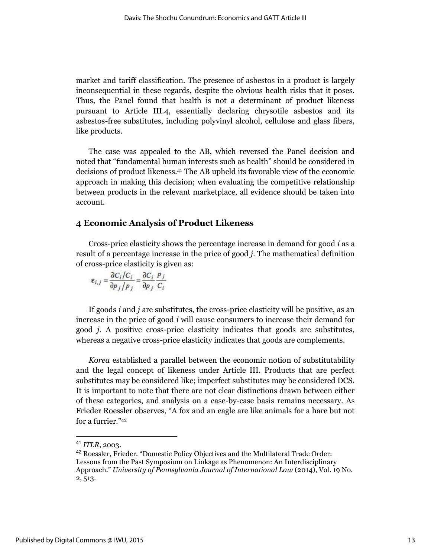market and tariff classification. The presence of asbestos in a product is largely inconsequential in these regards, despite the obvious health risks that it poses. Thus, the Panel found that health is not a determinant of product likeness pursuant to Article III.4, essentially declaring chrysotile asbestos and its asbestos-free substitutes, including polyvinyl alcohol, cellulose and glass fibers, like products.

The case was appealed to the AB, which reversed the Panel decision and noted that "fundamental human interests such as health" should be considered in decisions of product likeness.<sup>41</sup> The AB upheld its favorable view of the economic approach in making this decision; when evaluating the competitive relationship between products in the relevant marketplace, all evidence should be taken into account.

#### **4 Economic Analysis of Product Likeness**

Cross-price elasticity shows the percentage increase in demand for good *i* as a result of a percentage increase in the price of good *j*. The mathematical definition of cross-price elasticity is given as:

$$
\varepsilon_{i,j} = \frac{\partial C_i/C_i}{\partial p_j/p_j} = \frac{\partial C_i}{\partial p_j} \frac{p_j}{C_i}
$$

If goods *i* and *j* are substitutes, the cross-price elasticity will be positive, as an increase in the price of good *i* will cause consumers to increase their demand for good *j*. A positive cross-price elasticity indicates that goods are substitutes, whereas a negative cross-price elasticity indicates that goods are complements.

*Korea* established a parallel between the economic notion of substitutability and the legal concept of likeness under Article III. Products that are perfect substitutes may be considered like; imperfect substitutes may be considered DCS. It is important to note that there are not clear distinctions drawn between either of these categories, and analysis on a case-by-case basis remains necessary. As Frieder Roessler observes, "A fox and an eagle are like animals for a hare but not for a furrier."<sup>42</sup>

<sup>41</sup> *ITLR*, 2003.

<sup>42</sup> Roessler, Frieder. "Domestic Policy Objectives and the Multilateral Trade Order: Lessons from the Past Symposium on Linkage as Phenomenon: An Interdisciplinary Approach." *University of Pennsylvania Journal of International Law* (2014), Vol. 19 No. 2, 513.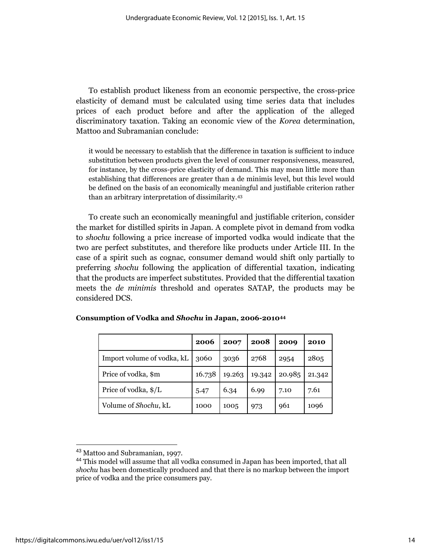To establish product likeness from an economic perspective, the cross-price elasticity of demand must be calculated using time series data that includes prices of each product before and after the application of the alleged discriminatory taxation. Taking an economic view of the *Korea* determination, Mattoo and Subramanian conclude:

it would be necessary to establish that the difference in taxation is sufficient to induce substitution between products given the level of consumer responsiveness, measured, for instance, by the cross-price elasticity of demand. This may mean little more than establishing that differences are greater than a de minimis level, but this level would be defined on the basis of an economically meaningful and justifiable criterion rather than an arbitrary interpretation of dissimilarity.<sup>43</sup>

To create such an economically meaningful and justifiable criterion, consider the market for distilled spirits in Japan. A complete pivot in demand from vodka to *shochu* following a price increase of imported vodka would indicate that the two are perfect substitutes, and therefore like products under Article III. In the case of a spirit such as cognac, consumer demand would shift only partially to preferring *shochu* following the application of differential taxation, indicating that the products are imperfect substitutes. Provided that the differential taxation meets the *de minimis* threshold and operates SATAP, the products may be considered DCS.

|                              | 2006   | 2007   | 2008   | 2009   | 2010   |
|------------------------------|--------|--------|--------|--------|--------|
| Import volume of vodka, kL   | 3060   | 3036   | 2768   | 2954   | 2805   |
| Price of vodka, \$m          | 16.738 | 19.263 | 19.342 | 20.985 | 21.342 |
| Price of vodka, \$/L         | 5.47   | 6.34   | 6.99   | 7.10   | 7.61   |
| Volume of <i>Shochu</i> , kL | 1000   | 1005   | 973    | 961    | 1096   |

|  |  |  | Consumption of Vodka and Shochu in Japan, 2006-201044 |
|--|--|--|-------------------------------------------------------|
|--|--|--|-------------------------------------------------------|

<sup>&</sup>lt;sup>43</sup> Mattoo and Subramanian, 1997.

<sup>44</sup> This model will assume that all vodka consumed in Japan has been imported, that all *shochu* has been domestically produced and that there is no markup between the import price of vodka and the price consumers pay.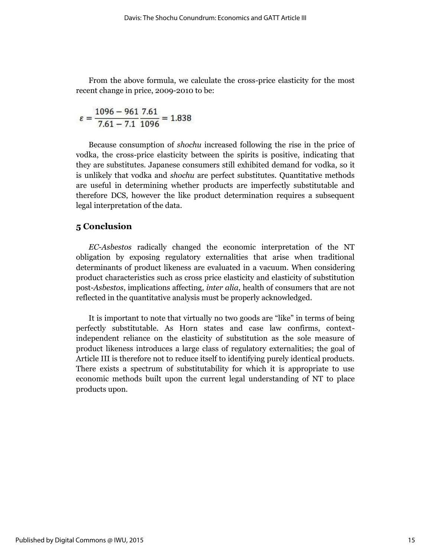From the above formula, we calculate the cross-price elasticity for the most recent change in price, 2009-2010 to be:

$$
\varepsilon = \frac{1096 - 961}{7.61 - 7.1} \frac{7.61}{1096} = 1.838
$$

Because consumption of *shochu* increased following the rise in the price of vodka, the cross-price elasticity between the spirits is positive, indicating that they are substitutes. Japanese consumers still exhibited demand for vodka, so it is unlikely that vodka and *shochu* are perfect substitutes. Quantitative methods are useful in determining whether products are imperfectly substitutable and therefore DCS, however the like product determination requires a subsequent legal interpretation of the data.

#### **5 Conclusion**

*EC-Asbestos* radically changed the economic interpretation of the NT obligation by exposing regulatory externalities that arise when traditional determinants of product likeness are evaluated in a vacuum. When considering product characteristics such as cross price elasticity and elasticity of substitution post-*Asbestos*, implications affecting, *inter alia*, health of consumers that are not reflected in the quantitative analysis must be properly acknowledged.

It is important to note that virtually no two goods are "like" in terms of being perfectly substitutable. As Horn states and case law confirms, contextindependent reliance on the elasticity of substitution as the sole measure of product likeness introduces a large class of regulatory externalities; the goal of Article III is therefore not to reduce itself to identifying purely identical products. There exists a spectrum of substitutability for which it is appropriate to use economic methods built upon the current legal understanding of NT to place products upon.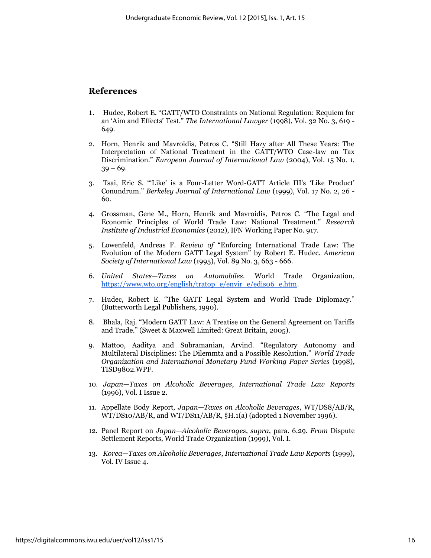#### **References**

- 1. Hudec, Robert E. "GATT/WTO Constraints on National Regulation: Requiem for an 'Aim and Effects' Test." *The International Lawyer* (1998), Vol. 32 No. 3, 619 - 649.
- 2. Horn, Henrik and Mavroidis, Petros C. "Still Hazy after All These Years: The Interpretation of National Treatment in the GATT/WTO Case-law on Tax Discrimination." *European Journal of International Law* (2004), Vol. 15 No. 1,  $39 - 69.$
- 3. Tsai, Eric S. "'Like' is a Four-Letter Word-GATT Article III's 'Like Product' Conundrum." *Berkeley Journal of International Law* (1999), Vol. 17 No. 2, 26 - 60.
- 4. Grossman, Gene M., Horn, Henrik and Mavroidis, Petros C. "The Legal and Economic Principles of World Trade Law: National Treatment." *Research Institute of Industrial Economics* (2012), IFN Working Paper No. 917.
- 5. Lowenfeld, Andreas F. *Review of* "Enforcing International Trade Law: The Evolution of the Modern GATT Legal System" by Robert E. Hudec. *American Society of International Law* (1995), Vol. 89 No. 3, 663 - 666.
- 6. *United States—Taxes on Automobiles*. World Trade Organization, [https://www.wto.org/english/tratop\\_e/envir\\_e/edis06\\_e.htm.](https://www.wto.org/english/tratop_e/envir_e/edis06_e.htm)
- 7. Hudec, Robert E. "The GATT Legal System and World Trade Diplomacy." (Butterworth Legal Publishers, 1990).
- 8. Bhala, Raj. "Modern GATT Law: A Treatise on the General Agreement on Tariffs and Trade." (Sweet & Maxwell Limited: Great Britain, 2005).
- 9. Mattoo, Aaditya and Subramanian, Arvind. "Regulatory Autonomy and Multilateral Disciplines: The Dilemmta and a Possible Resolution." *World Trade Organization and International Monetary Fund Working Paper Series* (1998), TISD9802.WPF.
- 10. *Japan—Taxes on Alcoholic Beverages*, *International Trade Law Reports*  (1996), Vol. I Issue 2.
- 11. Appellate Body Report, *Japan—Taxes on Alcoholic Beverages*, WT/DS8/AB/R, WT/DS10/AB/R, and WT/DS11/AB/R, §H.1(a) (adopted 1 November 1996).
- 12. Panel Report on *Japan—Alcoholic Beverages*, *supra*, para. 6.29. *From* Dispute Settlement Reports, World Trade Organization (1999), Vol. I.
- 13. *Korea—Taxes on Alcoholic Beverages*, *International Trade Law Reports* (1999), Vol. IV Issue 4.